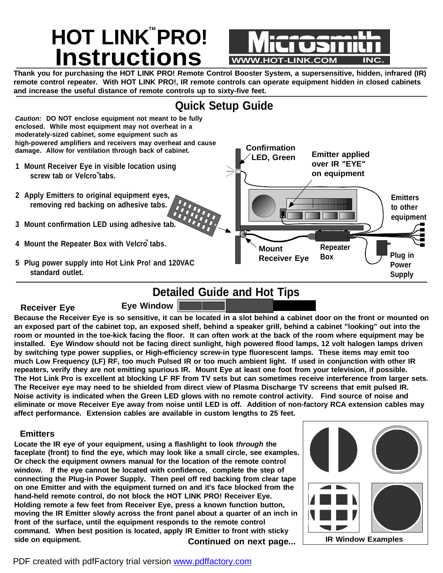# $HOT$  **LINK**<sup>"</sup> PRO! **Instructions WWW.HOT-LINK.COM**

Thank you for purchasing the HOT LINK PRO! Remote Control Booster System, a supersensitive, hidden, infrared (IR) remote control repeater. With HOT LINK PRO!, IR remote controls can operate equipment hidden in closed cabinets **and increase the useful distance of remote controls up to sixty-five feet.**



## **Detailed Guide and Hot Tips**

#### **Receiver Eye**

Because the Receiver Eye is so sensitive, it can be located in a slot behind a cabinet door on the front or mounted on an exposed part of the cabinet top, an exposed shelf, behind a speaker grill, behind a cabinet "looking" out into the room or mounted in the toe-kick facing the floor. It can often work at the back of the room where equipment may be installed. Eye Window should not be facing direct sunlight, high powered flood lamps, 12 volt halogen lamps driven **by switching type power supplies, or High-efficiency screw-in type fluorescent lamps. These items may emit too** much Low Frequency (LF) RF, too much Pulsed IR or too much ambient light. If used in conjunction with other IR repeaters, verify they are not emitting spurious IR. Mount Eye at least one foot from your television, if possible. The Hot Link Pro is excellent at blocking LF RF from TV sets but can sometimes receive interference from larger sets. The Receiver eve may need to be shielded from direct view of Plasma Discharge TV screens that emit pulsed IR. Noise activity is indicated when the Green LED glows with no remote control activity. Find source of noise and eliminate or move Receiver Eye away from noise until LED is off. Addition of non-factory RCA extension cables may **affect performance. Extension cables are available in custom lengths to 25 feet.**

#### **Emitters**

**Locate the IR eye of your equipment, using a flashlight to look** *through* **the faceplate (front) to find the eye, which may look like a small circle, see examples. Or check the equipment owners manual for the location of the remote control window. If the eye cannot be located with confidence, complete the step of connecting the Plug-in Power Supply. Then peel off red backing from clear tape on one Emitter and with the equipment turned on and it's face blocked from the hand-held remote control, do not block the HOT LINK PRO! Receiver Eye. Holding remote a few feet from Receiver Eye, press a known function button, moving the IR Emitter slowly across the front panel about a quarter of an inch in front of the surface, until the equipment responds to the remote control command. When best position is located, apply IR Emitter to front with sticky side on equipment. C IR Window Examples ontinued on next page...**

**Eye Window**